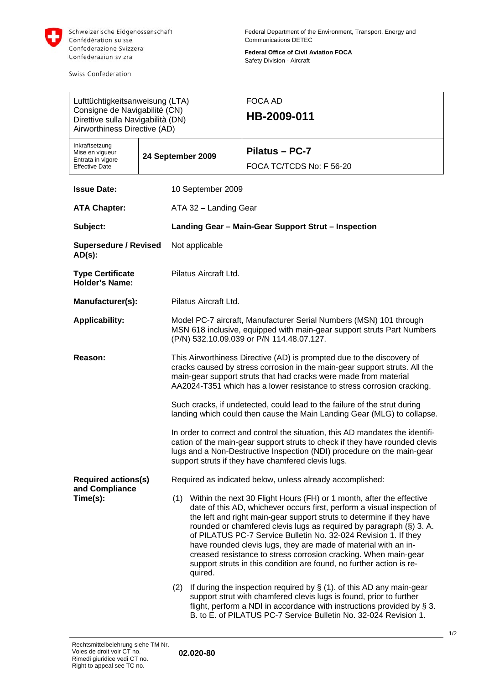

Swiss Confederation

**Federal Office of Civil Aviation FOCA**  Safety Division - Aircraft

| Lufttüchtigkeitsanweisung (LTA)<br>Consigne de Navigabilité (CN)<br>Direttive sulla Navigabilità (DN)<br>Airworthiness Directive (AD) |  |                                                                                                                                                                                                                                                                                                                                                                                                                                                                                                                                                                                                 |  | <b>FOCA AD</b><br>HB-2009-011              |  |  |
|---------------------------------------------------------------------------------------------------------------------------------------|--|-------------------------------------------------------------------------------------------------------------------------------------------------------------------------------------------------------------------------------------------------------------------------------------------------------------------------------------------------------------------------------------------------------------------------------------------------------------------------------------------------------------------------------------------------------------------------------------------------|--|--------------------------------------------|--|--|
| Inkraftsetzung<br>Mise en vigueur<br>Entrata in vigore<br><b>Effective Date</b>                                                       |  | 24 September 2009                                                                                                                                                                                                                                                                                                                                                                                                                                                                                                                                                                               |  | Pilatus - PC-7<br>FOCA TC/TCDS No: F 56-20 |  |  |
| <b>Issue Date:</b>                                                                                                                    |  | 10 September 2009                                                                                                                                                                                                                                                                                                                                                                                                                                                                                                                                                                               |  |                                            |  |  |
| <b>ATA Chapter:</b>                                                                                                                   |  | ATA 32 - Landing Gear                                                                                                                                                                                                                                                                                                                                                                                                                                                                                                                                                                           |  |                                            |  |  |
| Subject:                                                                                                                              |  | Landing Gear - Main-Gear Support Strut - Inspection                                                                                                                                                                                                                                                                                                                                                                                                                                                                                                                                             |  |                                            |  |  |
| <b>Supersedure / Revised</b><br>$AD(s)$ :                                                                                             |  | Not applicable                                                                                                                                                                                                                                                                                                                                                                                                                                                                                                                                                                                  |  |                                            |  |  |
| <b>Type Certificate</b><br><b>Holder's Name:</b>                                                                                      |  | Pilatus Aircraft Ltd.                                                                                                                                                                                                                                                                                                                                                                                                                                                                                                                                                                           |  |                                            |  |  |
| Manufacturer(s):                                                                                                                      |  | Pilatus Aircraft Ltd.                                                                                                                                                                                                                                                                                                                                                                                                                                                                                                                                                                           |  |                                            |  |  |
| <b>Applicability:</b>                                                                                                                 |  | Model PC-7 aircraft, Manufacturer Serial Numbers (MSN) 101 through<br>MSN 618 inclusive, equipped with main-gear support struts Part Numbers<br>(P/N) 532.10.09.039 or P/N 114.48.07.127.                                                                                                                                                                                                                                                                                                                                                                                                       |  |                                            |  |  |
| Reason:                                                                                                                               |  | This Airworthiness Directive (AD) is prompted due to the discovery of<br>cracks caused by stress corrosion in the main-gear support struts. All the<br>main-gear support struts that had cracks were made from material<br>AA2024-T351 which has a lower resistance to stress corrosion cracking.                                                                                                                                                                                                                                                                                               |  |                                            |  |  |
|                                                                                                                                       |  | Such cracks, if undetected, could lead to the failure of the strut during<br>landing which could then cause the Main Landing Gear (MLG) to collapse.                                                                                                                                                                                                                                                                                                                                                                                                                                            |  |                                            |  |  |
|                                                                                                                                       |  | In order to correct and control the situation, this AD mandates the identifi-<br>cation of the main-gear support struts to check if they have rounded clevis<br>lugs and a Non-Destructive Inspection (NDI) procedure on the main-gear<br>support struts if they have chamfered clevis lugs.                                                                                                                                                                                                                                                                                                    |  |                                            |  |  |
| <b>Required actions(s)</b><br>and Compliance<br>Time(s):                                                                              |  | Required as indicated below, unless already accomplished:                                                                                                                                                                                                                                                                                                                                                                                                                                                                                                                                       |  |                                            |  |  |
|                                                                                                                                       |  | (1) Within the next 30 Flight Hours (FH) or 1 month, after the effective<br>date of this AD, whichever occurs first, perform a visual inspection of<br>the left and right main-gear support struts to determine if they have<br>rounded or chamfered clevis lugs as required by paragraph (§) 3. A.<br>of PILATUS PC-7 Service Bulletin No. 32-024 Revision 1. If they<br>have rounded clevis lugs, they are made of material with an in-<br>creased resistance to stress corrosion cracking. When main-gear<br>support struts in this condition are found, no further action is re-<br>quired. |  |                                            |  |  |
|                                                                                                                                       |  | If during the inspection required by $\S$ (1). of this AD any main-gear<br>(2)<br>support strut with chamfered clevis lugs is found, prior to further<br>flight, perform a NDI in accordance with instructions provided by § 3.<br>B. to E. of PILATUS PC-7 Service Bulletin No. 32-024 Revision 1.                                                                                                                                                                                                                                                                                             |  |                                            |  |  |